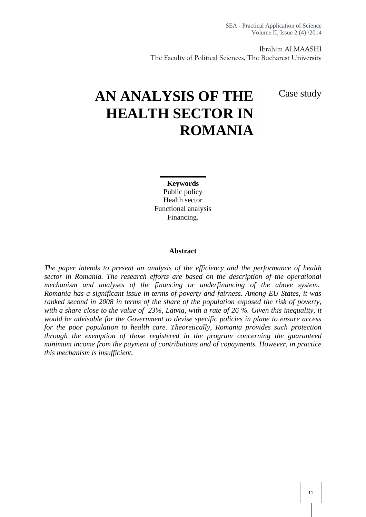Ibrahim ALMAASHI The Faculty of Political Sciences, The Bucharest University

Case study

# **AN ANALYSIS OF THE HEALTH SECTOR IN ROMANIA**

**Keywords** Public policy Health sector Functional analysis Financing.

#### **Abstract**

*The paper intends to present an analysis of the efficiency and the performance of health sector in Romania. The research efforts are based on the description of the operational mechanism and analyses of the financing or underfinancing of the above system. Romania has a significant issue in terms of poverty and fairness. Among EU States, it was ranked second in 2008 in terms of the share of the population exposed the risk of poverty, with a share close to the value of 23%, Latvia, with a rate of 26 %. Given this inequality, it would be advisable for the Government to devise specific policies in plane to ensure access for the poor population to health care. Theoretically, Romania provides such protection through the exemption of those registered in the program concerning the guaranteed minimum income from the payment of contributions and of copayments. However, in practice this mechanism is insufficient.*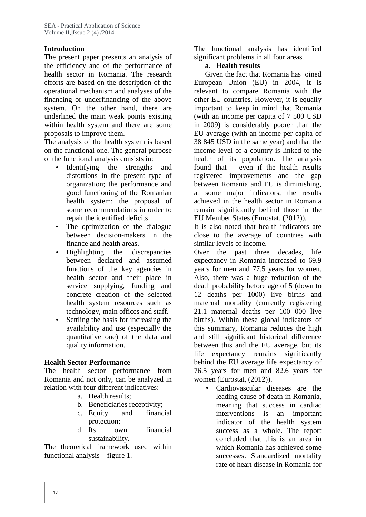### **Introduction**

The present paper presents an analysis of the efficiency and of the performance of health sector in Romania. The research efforts are based on the description of the operational mechanism and analyses of the financing or underfinancing of the above system. On the other hand, there are underlined the main weak points existing within health system and there are some proposals to improve them.

The analysis of the health system is based on the functional one. The general purpose of the functional analysis consists in:

- Identifying the strengths and distortions in the present type of organization; the performance and good functioning of the Romanian health system; the proposal of some recommendations in order to repair the identified deficits
- The optimization of the dialogue between decision-makers in the finance and health areas.
- Highlighting the discrepancies between declared and assumed functions of the key agencies in health sector and their place in service supplying, funding and concrete creation of the selected health system resources such as technology, main offices and staff.
- Settling the basis for increasing the availability and use (especially the quantitative one) of the data and quality information.

### **Health Sector Performance**

The health sector performance from Romania and not only, can be analyzed in relation with four different indicatives:

- a. Health results;
- b. Beneficiaries receptivity;
- c. Equity and financial protection;
- d. Its own financial sustainability.

The theoretical framework used within functional analysis – figure 1.

The functional analysis has identified significant problems in all four areas.

# **a. Health results**

Given the fact that Romania has joined European Union (EU) in 2004, it is relevant to compare Romania with the other EU countries. However, it is equally important to keep in mind that Romania (with an income per capita of 7 500 USD in 2009) is considerably poorer than the EU average (with an income per capita of 38 845 USD in the same year) and that the income level of a country is linked to the health of its population. The analysis found that – even if the health results registered improvements and the gap between Romania and EU is diminishing, at some major indicators, the results achieved in the health sector in Romania remain significantly behind those in the EU Member States (Eurostat, (2012)).

It is also noted that health indicators are close to the average of countries with similar levels of income.

Over the past three decades, life expectancy in Romania increased to 69.9 years for men and 77.5 years for women. Also, there was a huge reduction of the death probability before age of 5 (down to 12 deaths per 1000) live births and maternal mortality (currently registering 21.1 maternal deaths per 100 000 live births). Within these global indicators of this summary, Romania reduces the high and still significant historical difference between this and the EU average, but its life expectancy remains significantly behind the EU average life expectancy of 76.5 years for men and 82.6 years for women (Eurostat, (2012)).

 Cardiovascular diseases are the leading cause of death in Romania, meaning that success in cardiac interventions is an important indicator of the health system success as a whole. The report concluded that this is an area in which Romania has achieved some successes. Standardized mortality rate of heart disease in Romania for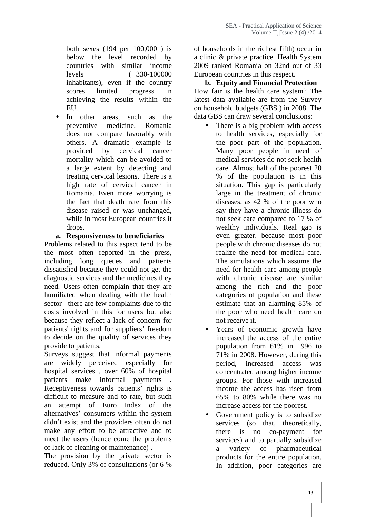both sexes (194 per 100,000 ) is below the level recorded by countries with similar income levels ( 330-100000 inhabitants), even if the country scores limited progress in achieving the results within the EU.

 In other areas, such as the preventive medicine, Romania does not compare favorably with others. A dramatic example is provided by cervical cancer mortality which can be avoided to a large extent by detecting and treating cervical lesions. There is a high rate of cervical cancer in Romania. Even more worrying is the fact that death rate from this disease raised or was unchanged, while in most European countries it drops.

#### **a. Responsiveness to beneficiaries**

Problems related to this aspect tend to be the most often reported in the press, including long queues and patients dissatisfied because they could not get the diagnostic services and the medicines they need. Users often complain that they are humiliated when dealing with the health sector - there are few complaints due to the costs involved in this for users but also because they reflect a lack of concern for patients' rights and for suppliers' freedom to decide on the quality of services they provide to patients.

Surveys suggest that informal payments are widely perceived especially for hospital services , over 60% of hospital patients make informal payments Receptiveness towards patients' rights is difficult to measure and to rate, but such an attempt of Euro Index of the alternatives' consumers within the system didn't exist and the providers often do not make any effort to be attractive and to meet the users (hence come the problems of lack of cleaning or maintenance) .

The provision by the private sector is reduced. Only 3% of consultations (or 6 %

of households in the richest fifth) occur in a clinic & private practice. Health System 2009 ranked Romania on 32nd out of 33 European countries in this respect.

# **b. Equity and Financial Protection**

How fair is the health care system? The latest data available are from the Survey on household budgets (GBS ) in 2008. The data GBS can draw several conclusions:

- There is a big problem with access to health services, especially for the poor part of the population. Many poor people in need of medical services do not seek health care. Almost half of the poorest 20 % of the population is in this situation. This gap is particularly large in the treatment of chronic diseases, as 42 % of the poor who say they have a chronic illness do not seek care compared to 17 % of wealthy individuals. Real gap is even greater, because most poor people with chronic diseases do not realize the need for medical care. The simulations which assume the need for health care among people with chronic disease are similar among the rich and the poor categories of population and these estimate that an alarming 85% of the poor who need health care do not receive it.
- Years of economic growth have increased the access of the entire population from 61% in 1996 to 71% in 2008. However, during this period, increased access was concentrated among higher income groups. For those with increased income the access has risen from 65% to 80% while there was no increase access for the poorest.
- Government policy is to subsidize services (so that, theoretically, there is no co-payment for services) and to partially subsidize a variety of pharmaceutical products for the entire population. In addition, poor categories are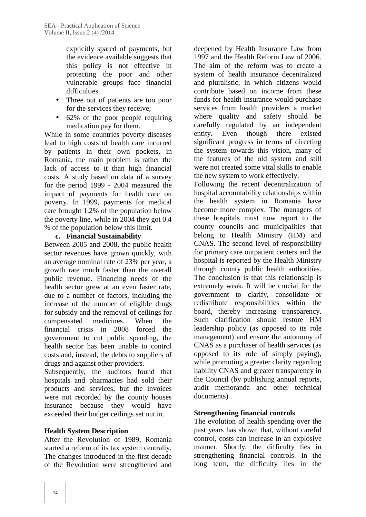explicitly spared of payments, but the evidence available suggests that this policy is not effective in protecting the poor and other vulnerable groups face financial difficulties.

- Three out of patients are too poor for the services they receive;
- 62% of the poor people requiring medication pay for them.

While in some countries poverty diseases lead to high costs of health care incurred by patients in their own pockets, in Romania, the main problem is rather the lack of access to it than high financial costs. A study based on data of a survey for the period 1999 - 2004 measured the impact of payments for health care on poverty. In 1999, payments for medical care brought 1.2% of the population below the poverty line, while in 2004 they got 0.4 % of the population below this limit.

#### **c. Financial Sustainability**

Between 2005 and 2008, the public health sector revenues have grown quickly, with an average nominal rate of 23% per year, a growth rate much faster than the overall public revenue. Financing needs of the health sector grew at an even faster rate, due to a number of factors, including the increase of the number of eligible drugs for subsidy and the removal of ceilings for compensated medicines. When the financial crisis in 2008 forced the government to cut public spending, the health sector has been unable to control costs and, instead, the debts to suppliers of drugs and against other providers.

Subsequently, the auditors found that hospitals and pharmacies had sold their products and services, but the invoices were not recorded by the county houses insurance because they would have exceeded their budget ceilings set out in.

### **Health System Description**

After the Revolution of 1989, Romania started a reform of its tax system centrally. The changes introduced in the first decade of the Revolution were strengthened and

deepened by Health Insurance Law from 1997 and the Health Reform Law of 2006. The aim of the reform was to create a system of health insurance decentralized and pluralistic, in which citizens would contribute based on income from these funds for health insurance would purchase services from health providers a market where quality and safety should be carefully regulated by an independent entity. Even though there existed significant progress in terms of directing the system towards this vision, many of the features of the old system and still were not created some vital skills to enable the new system to work effectively.

Following the recent decentralization of hospital accountability relationships within the health system in Romania have become more complex. The managers of these hospitals must now report to the county councils and municipalities that belong to Health Ministry (HM) and CNAS. The second level of responsibility for primary care outpatient centers and the hospital is reported by the Health Ministry through county public health authorities. The conclusion is that this relationship is extremely weak. It will be crucial for the government to clarify, consolidate or redistribute responsibilities within the board, thereby increasing transparency. Such clarification should restore HM leadership policy (as opposed to its role management) and ensure the autonomy of CNAS as a purchaser of health services (as opposed to its role of simply paying), while promoting a greater clarity regarding liability CNAS and greater transparency in the Council (by publishing annual reports, audit memoranda and other technical documents) .

# **Strengthening financial controls**

The evolution of health spending over the past years has shown that, without careful control, costs can increase in an explosive manner. Shortly, the difficulty lies in strengthening financial controls. In the long term, the difficulty lies in the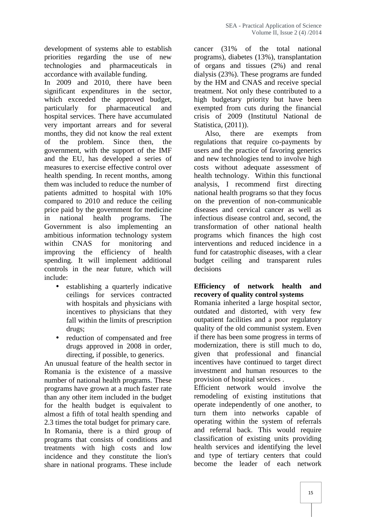development of systems able to establish priorities regarding the use of new technologies and pharmaceuticals in accordance with available funding.

In 2009 and 2010, there have been significant expenditures in the sector, which exceeded the approved budget, particularly for pharmaceutical and hospital services. There have accumulated very important arrears and for several months, they did not know the real extent of the problem. Since then, the government, with the support of the IMF and the EU, has developed a series of measures to exercise effective control over health spending. In recent months, among them was included to reduce the number of patients admitted to hospital with 10% compared to 2010 and reduce the ceiling price paid by the government for medicine in national health programs. The Government is also implementing an ambitious information technology system within CNAS for monitoring and improving the efficiency of health spending. It will implement additional controls in the near future, which will include:

- establishing a quarterly indicative ceilings for services contracted with hospitals and physicians with incentives to physicians that they fall within the limits of prescription drugs;
- reduction of compensated and free drugs approved in 2008 in order, directing, if possible, to generics.

An unusual feature of the health sector in Romania is the existence of a massive number of national health programs. These programs have grown at a much faster rate than any other item included in the budget for the health budget is equivalent to almost a fifth of total health spending and 2.3 times the total budget for primary care. In Romania, there is a third group of programs that consists of conditions and treatments with high costs and low incidence and they constitute the lion's share in national programs. These include

cancer (31% of the total national programs), diabetes (13%), transplantation of organs and tissues (2%) and renal dialysis (23%). These programs are funded by the HM and CNAS and receive special treatment. Not only these contributed to a high budgetary priority but have been exempted from cuts during the financial crisis of 2009 (Institutul National de Statistica, (2011)).

Also, there are exempts from regulations that require co-payments by users and the practice of favoring generics and new technologies tend to involve high costs without adequate assessment of health technology. Within this functional analysis, I recommend first directing national health programs so that they focus on the prevention of non-communicable diseases and cervical cancer as well as infectious disease control and, second, the transformation of other national health programs which finances the high cost interventions and reduced incidence in a fund for catastrophic diseases, with a clear budget ceiling and transparent rules decisions

#### **Efficiency of network health and recovery of quality control systems**

Romania inherited a large hospital sector, outdated and distorted, with very few outpatient facilities and a poor regulatory quality of the old communist system. Even if there has been some progress in terms of modernization, there is still much to do, given that professional and financial incentives have continued to target direct investment and human resources to the provision of hospital services .

Efficient network would involve the remodeling of existing institutions that operate independently of one another, to turn them into networks capable of operating within the system of referrals and referral back. This would require classification of existing units providing health services and identifying the level and type of tertiary centers that could become the leader of each network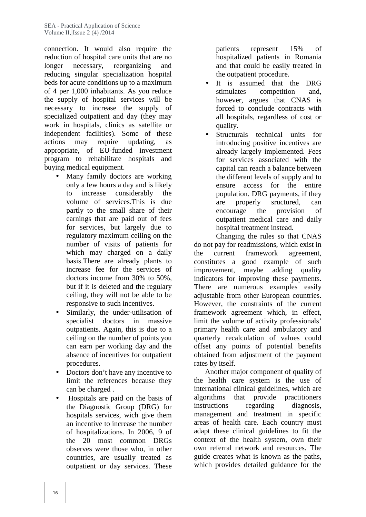connection. It would also require the reduction of hospital care units that are no longer necessary, reorganizing and reducing singular specialization hospital beds for acute conditions up to a maximum of 4 per 1,000 inhabitants. As you reduce the supply of hospital services will be necessary to increase the supply of specialized outpatient and day (they may work in hospitals, clinics as satellite or independent facilities). Some of these actions may require updating, as appropriate, of EU-funded investment program to rehabilitate hospitals and buying medical equipment.

- Many family doctors are working only a few hours a day and is likely to increase considerably the volume of services.This is due partly to the small share of their earnings that are paid out of fees for services, but largely due to regulatory maximum ceiling on the number of visits of patients for which may charged on a daily the basis.There are already plants to increase fee for the services of doctors income from 30% to 50%, but if it is deleted and the regulary ceiling, they will not be able to be responsive to such incentives.
- Similarly, the under-utilisation of specialist doctors in massive outpatients. Again, this is due to a ceiling on the number of points you can earn per working day and the absence of incentives for outpatient procedures.
- Doctors don't have any incentive to limit the references because they can be charged .
- Hospitals are paid on the basis of the Diagnostic Group (DRG) for hospitals services, wich give them an incentive to increase the number of hospitalizations. In 2006, 9 of the 20 most common DRGs observes were those who, in other countries, are usually treated as outpatient or day services. These

patients represent 15% of hospitalized patients in Romania and that could be easily treated in the outpatient procedure.

- It is assumed that the DRG stimulates competition and, however, argues that CNAS is forced to conclude contracts with all hospitals, regardless of cost or quality.
- Structurals technical units for introducing positive incentives are already largely implemented. Fees for services associated with the capital can reach a balance between the different levels of supply and to ensure access for the entire population. DRG payments, if they are properly sructured, can encourage the provision of outpatient medical care and daily hospital treatment instead.

Changing the rules so that CNAS do not pay for readmissions, which exist in current framework agreement, constitutes a good example of such improvement, maybe adding quality indicators for improving these payments. There are numerous examples easily adjustable from other European countries. However, the constraints of the current framework agreement which, in effect, limit the volume of activity professionals' primary health care and ambulatory and quarterly recalculation of values could offset any points of potential benefits obtained from adjustment of the payment rates by itself.

Another major component of quality of the health care system is the use of international clinical guidelines, which are algorithms that provide practitioners instructions regarding diagnosis, management and treatment in specific areas of health care. Each country must adapt these clinical guidelines to fit the context of the health system, own their own referral network and resources. The guide creates what is known as the paths, which provides detailed guidance for the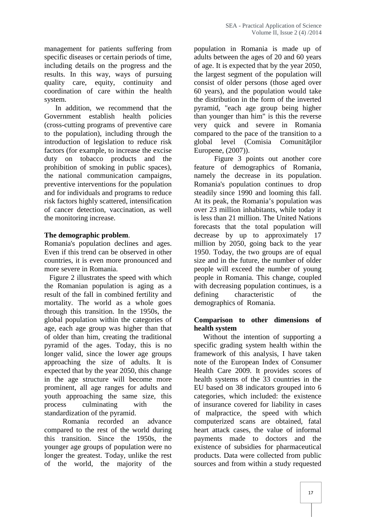management for patients suffering from specific diseases or certain periods of time, including details on the progress and the results. In this way, ways of pursuing quality care, equity, continuity and coordination of care within the health system.

In addition, we recommend that the Government establish health policies (cross-cutting programs of preventive care to the population), including through the introduction of legislation to reduce risk factors (for example, to increase the excise duty on tobacco products and the prohibition of smoking in public spaces), the national communication campaigns, preventive interventions for the population and for individuals and programs to reduce risk factors highly scattered, intensification of cancer detection, vaccination, as well the monitoring increase.

#### **The demographic problem**.

Romania's population declines and ages. Even if this trend can be observed in other countries, it is even more pronounced and more severe in Romania.

Figure 2 illustrates the speed with which the Romanian population is aging as a result of the fall in combined fertility and mortality. The world as a whole goes through this transition. In the 1950s, the global population within the categories of age, each age group was higher than that of older than him, creating the traditional pyramid of the ages. Today, this is no longer valid, since the lower age groups approaching the size of adults. It is expected that by the year 2050, this change in the age structure will become more prominent, all age ranges for adults and youth approaching the same size, this process culminating with the standardization of the pyramid.

Romania recorded an advance compared to the rest of the world during this transition. Since the 1950s, the younger age groups of population were no longer the greatest. Today, unlike the rest of the world, the majority of the

population in Romania is made up of adults between the ages of 20 and 60 years of age. It is expected that by the year 2050, the largest segment of the population will consist of older persons (those aged over 60 years), and the population would take the distribution in the form of the inverted pyramid, "each age group being higher than younger than him" is this the reverse very quick and severe in Romania compared to the pace of the transition to a global level (Comisia Comunit ilor Europene, (2007)).

Figure 3 points out another core feature of demographics of Romania, namely the decrease in its population. Romania's population continues to drop steadily since 1990 and looming this fall. At its peak, the Romania's population was over 23 million inhabitants, while today it is less than 21 million. The United Nations forecasts that the total population will decrease by up to approximately 17 million by 2050, going back to the year 1950. Today, the two groups are of equal size and in the future, the number of older people will exceed the number of young people in Romania. This change, coupled with decreasing population continues, is a characteristic of the demographics of Romania.

### **Comparison to other dimensions of health system**

Without the intention of supporting a specific grading system health within the framework of this analysis, I have taken note of the European Index of Consumer Health Care 2009. It provides scores of health systems of the 33 countries in the EU based on 38 indicators grouped into 6 categories, which included: the existence of insurance covered for liability in cases of malpractice, the speed with which computerized scans are obtained, fatal heart attack cases, the value of informal payments made to doctors and the existence of subsidies for pharmaceutical products. Data were collected from public sources and from within a study requested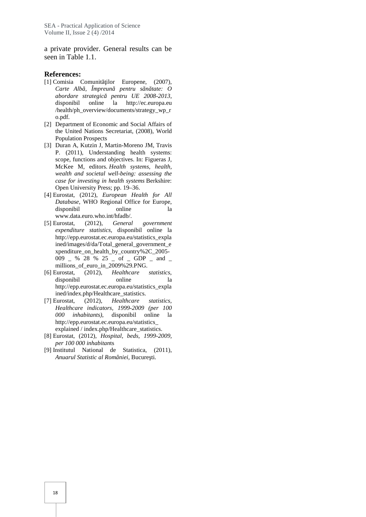a private provider. General results can be seen in Table 1.1.

#### **References:**

- [1] Comisia Comunitailor Europene, (2007), *Carte Alb*, Împreun pentru s n tate: O *abordare strategică pentru UE 2008-2013*, disponibil online la http://ec.europa.eu /health/ph\_overview/documents/strategy\_wp\_r o.pdf.
- [2] Department of Economic and Social Affairs of the United Nations Secretariat, (2008), World Population Prospects
- [3] Duran A, Kutzin J, Martin-Moreno JM, Travis P. (2011), Understanding health systems: scope, functions and objectives. In: Figueras J, McKee M, editors. *Health systems, health, wealth and societal well-being: assessing the case for investing in health systems* Berkshire: Open University Press; pp. 19–36.
- [4] Eurostat, (2012), *European Health for All Database*, WHO Regional Office for Europe, disponibil online la www.data.euro.who.int/hfadb/.
- [5] Eurostat, (2012), *General government expenditure statistics,* disponibil online la http://epp.eurostat.ec.europa.eu/statistics\_expla ined/images/d/da/Total\_general\_government\_e xpenditure on health by country%2C\_2005-009 \_ % 28 % 25 \_ of \_ GDP \_ and \_ millions\_of\_euro\_in\_2009%29.PNG.
- [6] Eurostat, (2012), *Healthcare statistics*, disponibil online la http://epp.eurostat.ec.europa.eu/statistics\_expla ined/index.php/Healthcare\_statistics.
- [7] Eurostat, (2012), *Healthcare statistics, Healthcare indicators, 1999-2009 (per 100 000 inhabitants)*, disponibil online la http://epp.eurostat.ec.europa.eu/statistics\_ explained / index.php/Healthcare\_statistics.
- [8] Eurostat, (2012), *Hospital, beds, 1999-2009, per 100 000 inhabitan*ts
- [9] Institutul National de Statistica, (2011), *Anuarul Statistic al României*, Bucure ti.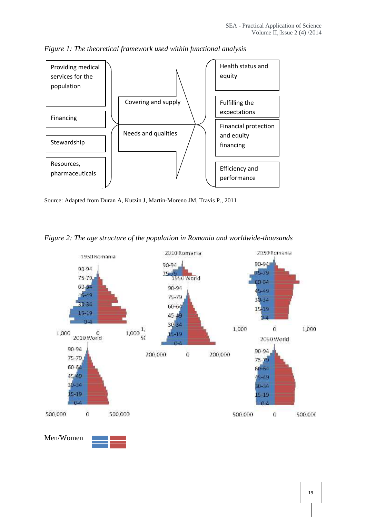

*Figure 1: The theoretical framework used within functional analysis*

Source: Adapted from Duran A, Kutzin J, Martin-Moreno JM, Travis P., 2011

*Figure 2: The age structure of the population in Romania and worldwide-thousands*